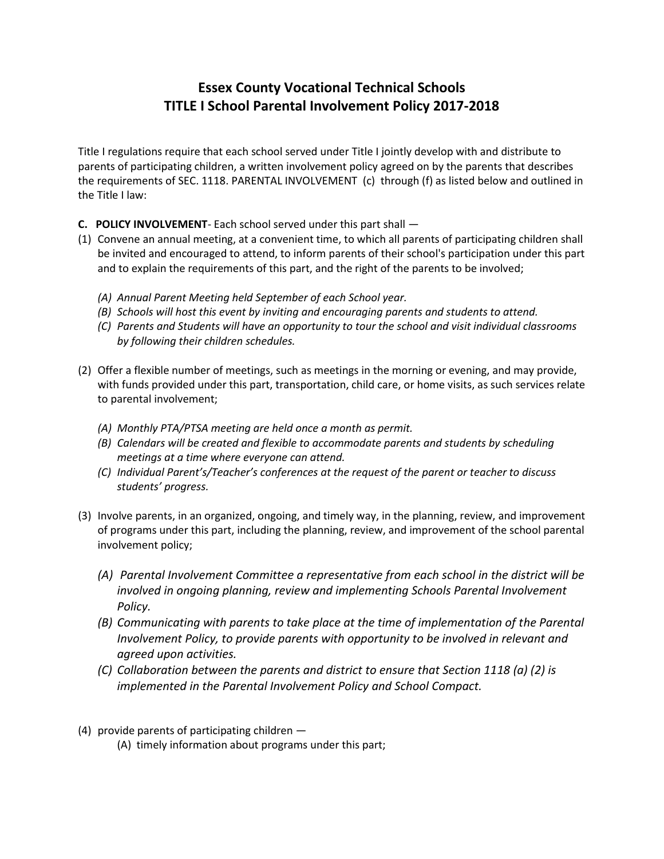## **Essex County Vocational Technical Schools TITLE I School Parental Involvement Policy 2017-2018**

Title I regulations require that each school served under Title I jointly develop with and distribute to parents of participating children, a written involvement policy agreed on by the parents that describes the requirements of SEC. 1118. PARENTAL INVOLVEMENT (c) through (f) as listed below and outlined in the Title I law:

- **C. POLICY INVOLVEMENT** Each school served under this part shall —
- (1) Convene an annual meeting, at a convenient time, to which all parents of participating children shall be invited and encouraged to attend, to inform parents of their school's participation under this part and to explain the requirements of this part, and the right of the parents to be involved;
	- *(A) Annual Parent Meeting held September of each School year.*
	- *(B) Schools will host this event by inviting and encouraging parents and students to attend.*
	- *(C) Parents and Students will have an opportunity to tour the school and visit individual classrooms by following their children schedules.*
- (2) Offer a flexible number of meetings, such as meetings in the morning or evening, and may provide, with funds provided under this part, transportation, child care, or home visits, as such services relate to parental involvement;
	- *(A) Monthly PTA/PTSA meeting are held once a month as permit.*
	- *(B) Calendars will be created and flexible to accommodate parents and students by scheduling meetings at a time where everyone can attend.*
	- *(C) Individual Parent's/Teacher's conferences at the request of the parent or teacher to discuss students' progress.*
- (3) Involve parents, in an organized, ongoing, and timely way, in the planning, review, and improvement of programs under this part, including the planning, review, and improvement of the school parental involvement policy;
	- *(A) Parental Involvement Committee a representative from each school in the district will be involved in ongoing planning, review and implementing Schools Parental Involvement Policy.*
	- *(B) Communicating with parents to take place at the time of implementation of the Parental Involvement Policy, to provide parents with opportunity to be involved in relevant and agreed upon activities.*
	- *(C) Collaboration between the parents and district to ensure that Section 1118 (a) (2) is implemented in the Parental Involvement Policy and School Compact.*
- (4) provide parents of participating children
	- (A) timely information about programs under this part;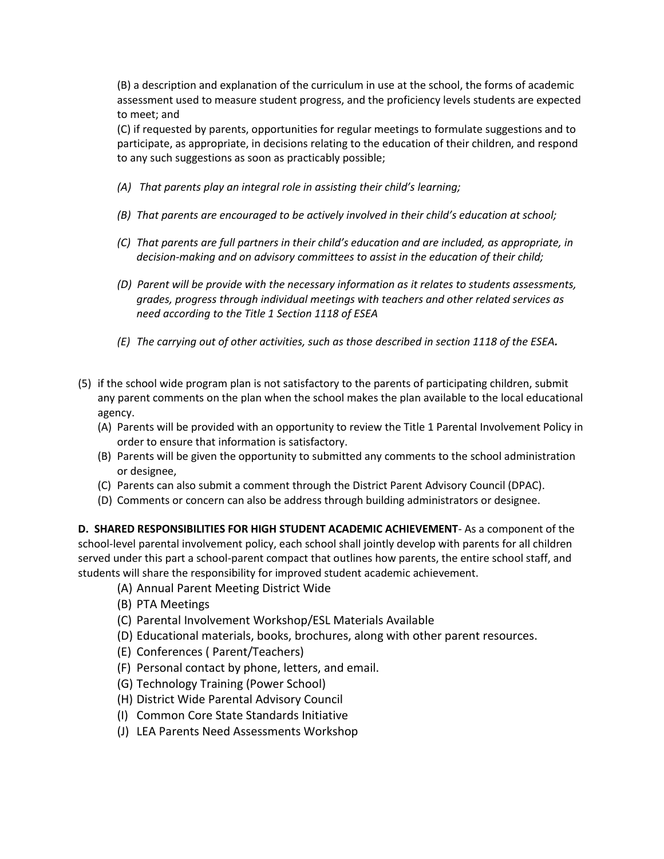(B) a description and explanation of the curriculum in use at the school, the forms of academic assessment used to measure student progress, and the proficiency levels students are expected to meet; and

(C) if requested by parents, opportunities for regular meetings to formulate suggestions and to participate, as appropriate, in decisions relating to the education of their children, and respond to any such suggestions as soon as practicably possible;

- *(A) That parents play an integral role in assisting their child's learning;*
- *(B) That parents are encouraged to be actively involved in their child's education at school;*
- *(C) That parents are full partners in their child's education and are included, as appropriate, in decision-making and on advisory committees to assist in the education of their child;*
- *(D) Parent will be provide with the necessary information as it relates to students assessments, grades, progress through individual meetings with teachers and other related services as need according to the Title 1 Section 1118 of ESEA*
- *(E) The carrying out of other activities, such as those described in section 1118 of the ESEA.*
- (5) if the school wide program plan is not satisfactory to the parents of participating children, submit any parent comments on the plan when the school makes the plan available to the local educational agency.
	- (A) Parents will be provided with an opportunity to review the Title 1 Parental Involvement Policy in order to ensure that information is satisfactory.
	- (B) Parents will be given the opportunity to submitted any comments to the school administration or designee,
	- (C) Parents can also submit a comment through the District Parent Advisory Council (DPAC).
	- (D) Comments or concern can also be address through building administrators or designee.

**D. SHARED RESPONSIBILITIES FOR HIGH STUDENT ACADEMIC ACHIEVEMENT**- As a component of the school-level parental involvement policy, each school shall jointly develop with parents for all children served under this part a school-parent compact that outlines how parents, the entire school staff, and students will share the responsibility for improved student academic achievement.

- (A) Annual Parent Meeting District Wide
- (B) PTA Meetings
- (C) Parental Involvement Workshop/ESL Materials Available
- (D) Educational materials, books, brochures, along with other parent resources.
- (E) Conferences ( Parent/Teachers)
- (F) Personal contact by phone, letters, and email.
- (G) Technology Training (Power School)
- (H) District Wide Parental Advisory Council
- (I) Common Core State Standards Initiative
- (J) LEA Parents Need Assessments Workshop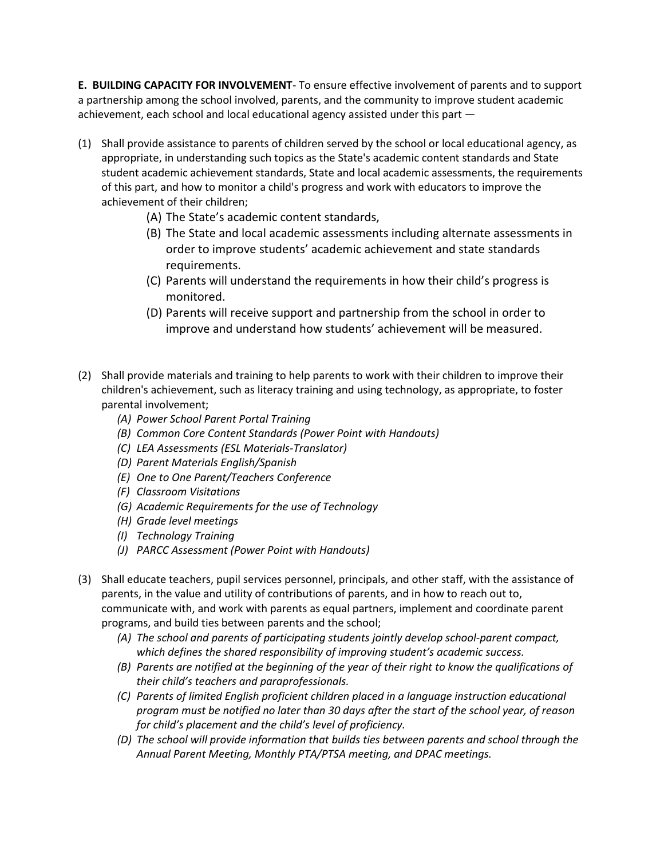**E. BUILDING CAPACITY FOR INVOLVEMENT**- To ensure effective involvement of parents and to support a partnership among the school involved, parents, and the community to improve student academic achievement, each school and local educational agency assisted under this part —

- (1) Shall provide assistance to parents of children served by the school or local educational agency, as appropriate, in understanding such topics as the State's academic content standards and State student academic achievement standards, State and local academic assessments, the requirements of this part, and how to monitor a child's progress and work with educators to improve the achievement of their children;
	- (A) The State's academic content standards,
	- (B) The State and local academic assessments including alternate assessments in order to improve students' academic achievement and state standards requirements.
	- (C) Parents will understand the requirements in how their child's progress is monitored.
	- (D) Parents will receive support and partnership from the school in order to improve and understand how students' achievement will be measured.
- (2) Shall provide materials and training to help parents to work with their children to improve their children's achievement, such as literacy training and using technology, as appropriate, to foster parental involvement;
	- *(A) Power School Parent Portal Training*
	- *(B) Common Core Content Standards (Power Point with Handouts)*
	- *(C) LEA Assessments (ESL Materials-Translator)*
	- *(D) Parent Materials English/Spanish*
	- *(E) One to One Parent/Teachers Conference*
	- *(F) Classroom Visitations*
	- *(G) Academic Requirements for the use of Technology*
	- *(H) Grade level meetings*
	- *(I) Technology Training*
	- *(J) PARCC Assessment (Power Point with Handouts)*
- (3) Shall educate teachers, pupil services personnel, principals, and other staff, with the assistance of parents, in the value and utility of contributions of parents, and in how to reach out to, communicate with, and work with parents as equal partners, implement and coordinate parent programs, and build ties between parents and the school;
	- *(A) The school and parents of participating students jointly develop school-parent compact, which defines the shared responsibility of improving student's academic success.*
	- *(B) Parents are notified at the beginning of the year of their right to know the qualifications of their child's teachers and paraprofessionals.*
	- *(C) Parents of limited English proficient children placed in a language instruction educational program must be notified no later than 30 days after the start of the school year, of reason for child's placement and the child's level of proficiency.*
	- *(D) The school will provide information that builds ties between parents and school through the Annual Parent Meeting, Monthly PTA/PTSA meeting, and DPAC meetings.*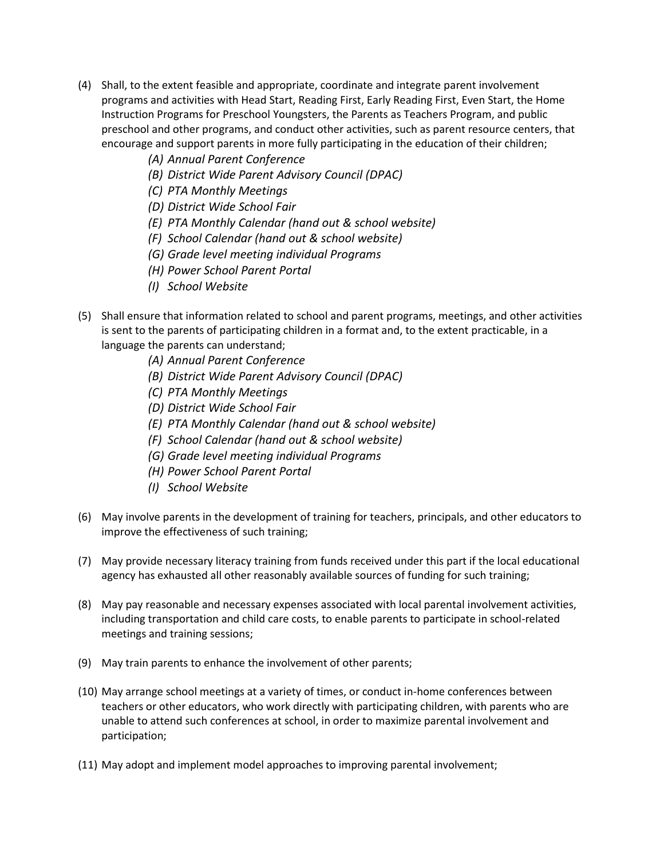- (4) Shall, to the extent feasible and appropriate, coordinate and integrate parent involvement programs and activities with Head Start, Reading First, Early Reading First, Even Start, the Home Instruction Programs for Preschool Youngsters, the Parents as Teachers Program, and public preschool and other programs, and conduct other activities, such as parent resource centers, that encourage and support parents in more fully participating in the education of their children;
	- *(A) Annual Parent Conference*
	- *(B) District Wide Parent Advisory Council (DPAC)*
	- *(C) PTA Monthly Meetings*
	- *(D) District Wide School Fair*
	- *(E) PTA Monthly Calendar (hand out & school website)*
	- *(F) School Calendar (hand out & school website)*
	- *(G) Grade level meeting individual Programs*
	- *(H) Power School Parent Portal*
	- *(I) School Website*
- (5) Shall ensure that information related to school and parent programs, meetings, and other activities is sent to the parents of participating children in a format and, to the extent practicable, in a language the parents can understand;
	- *(A) Annual Parent Conference*
	- *(B) District Wide Parent Advisory Council (DPAC)*
	- *(C) PTA Monthly Meetings*
	- *(D) District Wide School Fair*
	- *(E) PTA Monthly Calendar (hand out & school website)*
	- *(F) School Calendar (hand out & school website)*
	- *(G) Grade level meeting individual Programs*
	- *(H) Power School Parent Portal*
	- *(I) School Website*
- (6) May involve parents in the development of training for teachers, principals, and other educators to improve the effectiveness of such training;
- (7) May provide necessary literacy training from funds received under this part if the local educational agency has exhausted all other reasonably available sources of funding for such training;
- (8) May pay reasonable and necessary expenses associated with local parental involvement activities, including transportation and child care costs, to enable parents to participate in school-related meetings and training sessions;
- (9) May train parents to enhance the involvement of other parents;
- (10) May arrange school meetings at a variety of times, or conduct in-home conferences between teachers or other educators, who work directly with participating children, with parents who are unable to attend such conferences at school, in order to maximize parental involvement and participation;
- (11) May adopt and implement model approaches to improving parental involvement;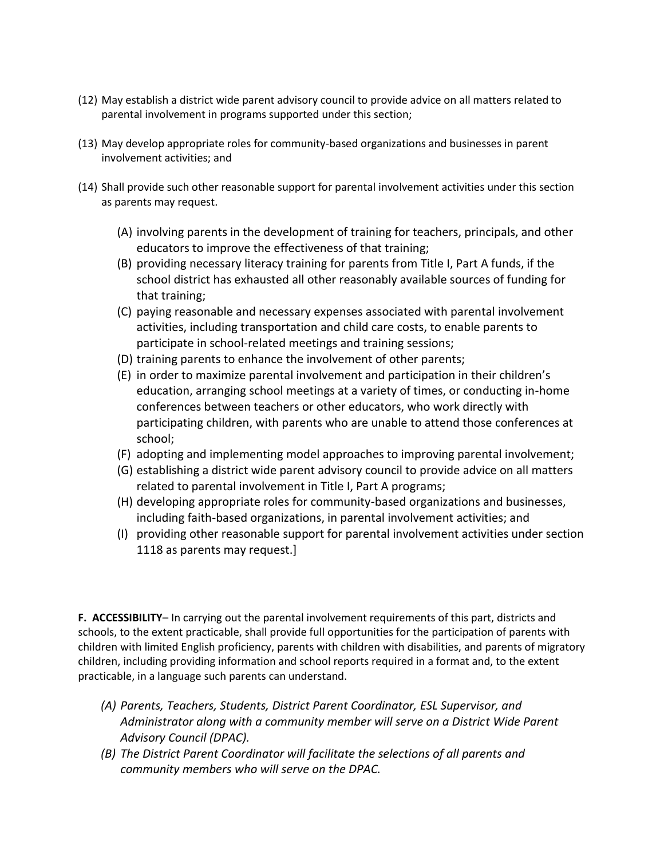- (12) May establish a district wide parent advisory council to provide advice on all matters related to parental involvement in programs supported under this section;
- (13) May develop appropriate roles for community-based organizations and businesses in parent involvement activities; and
- (14) Shall provide such other reasonable support for parental involvement activities under this section as parents may request.
	- (A) involving parents in the development of training for teachers, principals, and other educators to improve the effectiveness of that training;
	- (B) providing necessary literacy training for parents from Title I, Part A funds, if the school district has exhausted all other reasonably available sources of funding for that training;
	- (C) paying reasonable and necessary expenses associated with parental involvement activities, including transportation and child care costs, to enable parents to participate in school-related meetings and training sessions;
	- (D) training parents to enhance the involvement of other parents;
	- (E) in order to maximize parental involvement and participation in their children's education, arranging school meetings at a variety of times, or conducting in-home conferences between teachers or other educators, who work directly with participating children, with parents who are unable to attend those conferences at school;
	- (F) adopting and implementing model approaches to improving parental involvement;
	- (G) establishing a district wide parent advisory council to provide advice on all matters related to parental involvement in Title I, Part A programs;
	- (H) developing appropriate roles for community-based organizations and businesses, including faith-based organizations, in parental involvement activities; and
	- (I) providing other reasonable support for parental involvement activities under section 1118 as parents may request.]

**F. ACCESSIBILITY**– In carrying out the parental involvement requirements of this part, districts and schools, to the extent practicable, shall provide full opportunities for the participation of parents with children with limited English proficiency, parents with children with disabilities, and parents of migratory children, including providing information and school reports required in a format and, to the extent practicable, in a language such parents can understand.

- *(A) Parents, Teachers, Students, District Parent Coordinator, ESL Supervisor, and Administrator along with a community member will serve on a District Wide Parent Advisory Council (DPAC).*
- *(B) The District Parent Coordinator will facilitate the selections of all parents and community members who will serve on the DPAC.*